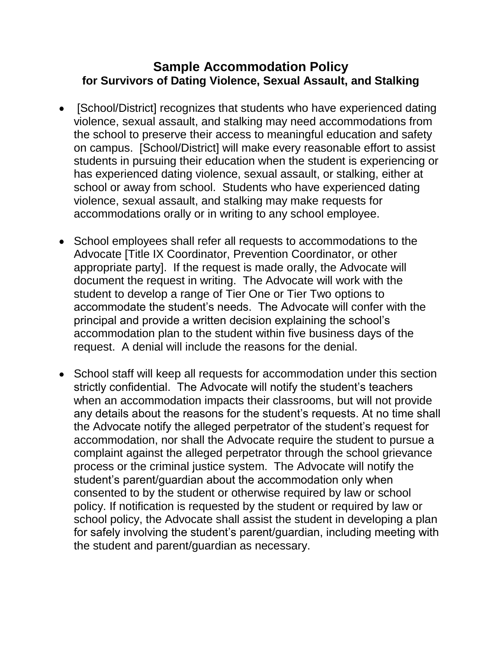## **Sample Accommodation Policy for Survivors of Dating Violence, Sexual Assault, and Stalking**

- [School/District] recognizes that students who have experienced dating violence, sexual assault, and stalking may need accommodations from the school to preserve their access to meaningful education and safety on campus. [School/District] will make every reasonable effort to assist students in pursuing their education when the student is experiencing or has experienced dating violence, sexual assault, or stalking, either at school or away from school. Students who have experienced dating violence, sexual assault, and stalking may make requests for accommodations orally or in writing to any school employee.
- School employees shall refer all requests to accommodations to the Advocate [Title IX Coordinator, Prevention Coordinator, or other appropriate party]. If the request is made orally, the Advocate will document the request in writing. The Advocate will work with the student to develop a range of Tier One or Tier Two options to accommodate the student's needs. The Advocate will confer with the principal and provide a written decision explaining the school's accommodation plan to the student within five business days of the request. A denial will include the reasons for the denial.
- School staff will keep all requests for accommodation under this section strictly confidential. The Advocate will notify the student's teachers when an accommodation impacts their classrooms, but will not provide any details about the reasons for the student's requests. At no time shall the Advocate notify the alleged perpetrator of the student's request for accommodation, nor shall the Advocate require the student to pursue a complaint against the alleged perpetrator through the school grievance process or the criminal justice system. The Advocate will notify the student's parent/guardian about the accommodation only when consented to by the student or otherwise required by law or school policy. If notification is requested by the student or required by law or school policy, the Advocate shall assist the student in developing a plan for safely involving the student's parent/guardian, including meeting with the student and parent/guardian as necessary.